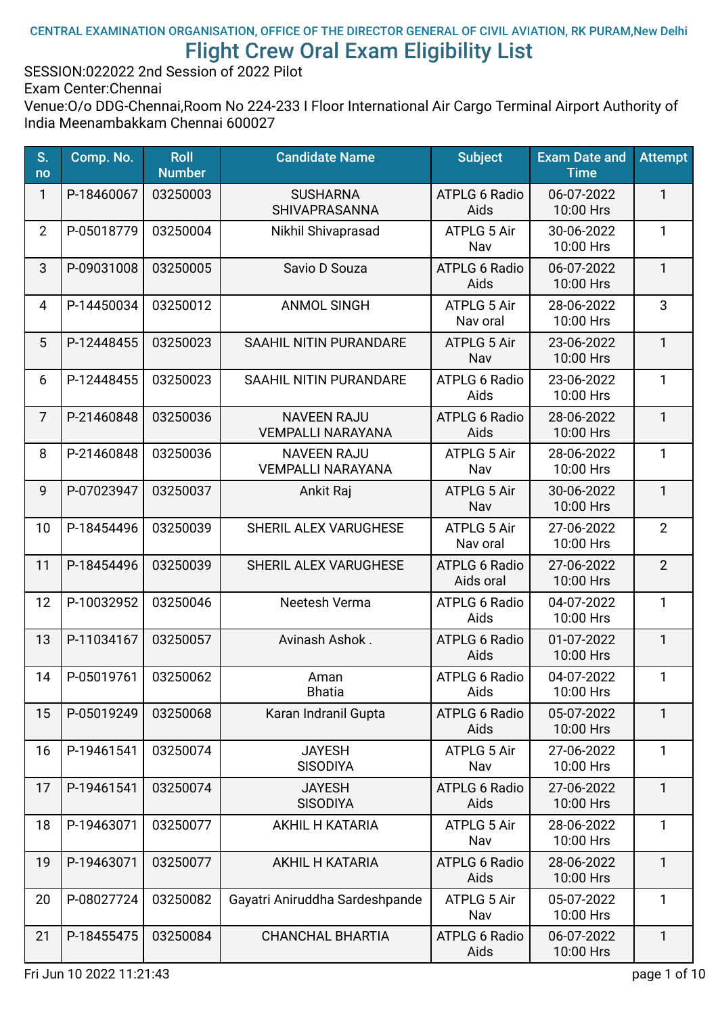#### CENTRAL EXAMINATION ORGANISATION, OFFICE OF THE DIRECTOR GENERAL OF CIVIL AVIATION, RK PURAM,New Delhi Flight Crew Oral Exam Eligibility List

SESSION:022022 2nd Session of 2022 Pilot

Exam Center:Chennai

| S.<br>no       | Comp. No.  | <b>Roll</b><br><b>Number</b> | <b>Candidate Name</b>                          | <b>Subject</b>                    | <b>Exam Date and</b><br><b>Time</b> | <b>Attempt</b> |
|----------------|------------|------------------------------|------------------------------------------------|-----------------------------------|-------------------------------------|----------------|
| 1              | P-18460067 | 03250003                     | <b>SUSHARNA</b><br>SHIVAPRASANNA               | <b>ATPLG 6 Radio</b><br>Aids      | 06-07-2022<br>10:00 Hrs             | 1              |
| $\overline{2}$ | P-05018779 | 03250004                     | Nikhil Shivaprasad                             | <b>ATPLG 5 Air</b><br>Nav         | 30-06-2022<br>10:00 Hrs             | 1              |
| 3              | P-09031008 | 03250005                     | Savio D Souza                                  | <b>ATPLG 6 Radio</b><br>Aids      | 06-07-2022<br>10:00 Hrs             | 1              |
| $\overline{4}$ | P-14450034 | 03250012                     | <b>ANMOL SINGH</b>                             | <b>ATPLG 5 Air</b><br>Nav oral    | 28-06-2022<br>10:00 Hrs             | 3              |
| 5              | P-12448455 | 03250023                     | SAAHIL NITIN PURANDARE                         | <b>ATPLG 5 Air</b><br>Nav         | 23-06-2022<br>10:00 Hrs             | $\mathbf{1}$   |
| 6              | P-12448455 | 03250023                     | SAAHIL NITIN PURANDARE                         | <b>ATPLG 6 Radio</b><br>Aids      | 23-06-2022<br>10:00 Hrs             | 1              |
| $\overline{7}$ | P-21460848 | 03250036                     | <b>NAVEEN RAJU</b><br><b>VEMPALLI NARAYANA</b> | <b>ATPLG 6 Radio</b><br>Aids      | 28-06-2022<br>10:00 Hrs             | 1              |
| 8              | P-21460848 | 03250036                     | <b>NAVEEN RAJU</b><br><b>VEMPALLI NARAYANA</b> | ATPLG 5 Air<br>Nav                | 28-06-2022<br>10:00 Hrs             | 1              |
| 9              | P-07023947 | 03250037                     | Ankit Raj                                      | <b>ATPLG 5 Air</b><br>Nav         | 30-06-2022<br>10:00 Hrs             | $\mathbf{1}$   |
| 10             | P-18454496 | 03250039                     | SHERIL ALEX VARUGHESE                          | ATPLG 5 Air<br>Nav oral           | 27-06-2022<br>10:00 Hrs             | $\overline{2}$ |
| 11             | P-18454496 | 03250039                     | SHERIL ALEX VARUGHESE                          | <b>ATPLG 6 Radio</b><br>Aids oral | 27-06-2022<br>10:00 Hrs             | $\overline{2}$ |
| 12             | P-10032952 | 03250046                     | Neetesh Verma                                  | <b>ATPLG 6 Radio</b><br>Aids      | 04-07-2022<br>10:00 Hrs             | 1              |
| 13             | P-11034167 | 03250057                     | Avinash Ashok.                                 | <b>ATPLG 6 Radio</b><br>Aids      | 01-07-2022<br>10:00 Hrs             | 1              |
| 14             | P-05019761 | 03250062                     | Aman<br><b>Bhatia</b>                          | <b>ATPLG 6 Radio</b><br>Aids      | 04-07-2022<br>10:00 Hrs             | 1              |
| 15             | P-05019249 | 03250068                     | Karan Indranil Gupta                           | <b>ATPLG 6 Radio</b><br>Aids      | 05-07-2022<br>10:00 Hrs             | 1              |
| 16             | P-19461541 | 03250074                     | <b>JAYESH</b><br><b>SISODIYA</b>               | ATPLG 5 Air<br>Nav                | 27-06-2022<br>10:00 Hrs             | 1              |
| 17             | P-19461541 | 03250074                     | <b>JAYESH</b><br><b>SISODIYA</b>               | <b>ATPLG 6 Radio</b><br>Aids      | 27-06-2022<br>10:00 Hrs             | $\mathbf{1}$   |
| 18             | P-19463071 | 03250077                     | <b>AKHIL H KATARIA</b>                         | ATPLG 5 Air<br>Nav                | 28-06-2022<br>10:00 Hrs             | 1              |
| 19             | P-19463071 | 03250077                     | <b>AKHIL H KATARIA</b>                         | <b>ATPLG 6 Radio</b><br>Aids      | 28-06-2022<br>10:00 Hrs             | 1              |
| 20             | P-08027724 | 03250082                     | Gayatri Aniruddha Sardeshpande                 | <b>ATPLG 5 Air</b><br>Nav         | 05-07-2022<br>10:00 Hrs             | 1              |
| 21             | P-18455475 | 03250084                     | <b>CHANCHAL BHARTIA</b>                        | <b>ATPLG 6 Radio</b><br>Aids      | 06-07-2022<br>10:00 Hrs             | 1              |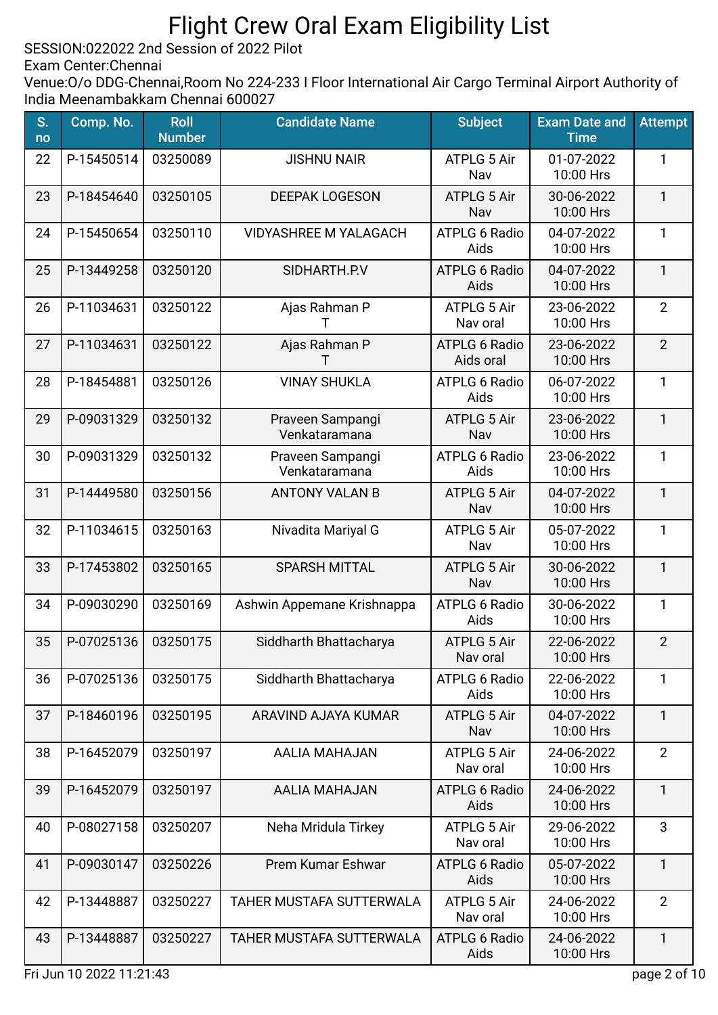SESSION:022022 2nd Session of 2022 Pilot

Exam Center:Chennai

| S.<br>no | Comp. No.  | <b>Roll</b><br><b>Number</b> | <b>Candidate Name</b>             | <b>Subject</b>                    | <b>Exam Date and</b><br><b>Time</b> | <b>Attempt</b> |
|----------|------------|------------------------------|-----------------------------------|-----------------------------------|-------------------------------------|----------------|
| 22       | P-15450514 | 03250089                     | <b>JISHNU NAIR</b>                | ATPLG 5 Air<br>Nav                | 01-07-2022<br>10:00 Hrs             | 1              |
| 23       | P-18454640 | 03250105                     | <b>DEEPAK LOGESON</b>             | <b>ATPLG 5 Air</b><br>Nav         | 30-06-2022<br>10:00 Hrs             | $\mathbf{1}$   |
| 24       | P-15450654 | 03250110                     | <b>VIDYASHREE M YALAGACH</b>      | <b>ATPLG 6 Radio</b><br>Aids      | 04-07-2022<br>10:00 Hrs             | $\mathbf{1}$   |
| 25       | P-13449258 | 03250120                     | SIDHARTH.P.V                      | <b>ATPLG 6 Radio</b><br>Aids      | 04-07-2022<br>10:00 Hrs             | $\mathbf{1}$   |
| 26       | P-11034631 | 03250122                     | Ajas Rahman P<br>Т                | ATPLG 5 Air<br>Nav oral           | 23-06-2022<br>10:00 Hrs             | $\overline{2}$ |
| 27       | P-11034631 | 03250122                     | Ajas Rahman P<br>т                | <b>ATPLG 6 Radio</b><br>Aids oral | 23-06-2022<br>10:00 Hrs             | $\overline{2}$ |
| 28       | P-18454881 | 03250126                     | <b>VINAY SHUKLA</b>               | <b>ATPLG 6 Radio</b><br>Aids      | 06-07-2022<br>10:00 Hrs             | 1              |
| 29       | P-09031329 | 03250132                     | Praveen Sampangi<br>Venkataramana | <b>ATPLG 5 Air</b><br>Nav         | 23-06-2022<br>10:00 Hrs             | $\mathbf{1}$   |
| 30       | P-09031329 | 03250132                     | Praveen Sampangi<br>Venkataramana | <b>ATPLG 6 Radio</b><br>Aids      | 23-06-2022<br>10:00 Hrs             | 1              |
| 31       | P-14449580 | 03250156                     | <b>ANTONY VALAN B</b>             | ATPLG 5 Air<br>Nav                | 04-07-2022<br>10:00 Hrs             | $\mathbf{1}$   |
| 32       | P-11034615 | 03250163                     | Nivadita Mariyal G                | ATPLG 5 Air<br>Nav                | 05-07-2022<br>10:00 Hrs             | $\mathbf{1}$   |
| 33       | P-17453802 | 03250165                     | <b>SPARSH MITTAL</b>              | <b>ATPLG 5 Air</b><br>Nav         | 30-06-2022<br>10:00 Hrs             | $\mathbf{1}$   |
| 34       | P-09030290 | 03250169                     | Ashwin Appemane Krishnappa        | <b>ATPLG 6 Radio</b><br>Aids      | 30-06-2022<br>10:00 Hrs             | $\mathbf{1}$   |
| 35       | P-07025136 | 03250175                     | Siddharth Bhattacharya            | <b>ATPLG 5 Air</b><br>Nav oral    | 22-06-2022<br>10:00 Hrs             | $\overline{2}$ |
| 36       | P-07025136 | 03250175                     | Siddharth Bhattacharya            | <b>ATPLG 6 Radio</b><br>Aids      | 22-06-2022<br>10:00 Hrs             | $\mathbf{1}$   |
| 37       | P-18460196 | 03250195                     | ARAVIND AJAYA KUMAR               | <b>ATPLG 5 Air</b><br>Nav         | 04-07-2022<br>10:00 Hrs             | $\mathbf{1}$   |
| 38       | P-16452079 | 03250197                     | AALIA MAHAJAN                     | <b>ATPLG 5 Air</b><br>Nav oral    | 24-06-2022<br>10:00 Hrs             | $\overline{2}$ |
| 39       | P-16452079 | 03250197                     | <b>AALIA MAHAJAN</b>              | <b>ATPLG 6 Radio</b><br>Aids      | 24-06-2022<br>10:00 Hrs             | $\mathbf{1}$   |
| 40       | P-08027158 | 03250207                     | Neha Mridula Tirkey               | ATPLG 5 Air<br>Nav oral           | 29-06-2022<br>10:00 Hrs             | 3              |
| 41       | P-09030147 | 03250226                     | Prem Kumar Eshwar                 | <b>ATPLG 6 Radio</b><br>Aids      | 05-07-2022<br>10:00 Hrs             | $\mathbf{1}$   |
| 42       | P-13448887 | 03250227                     | TAHER MUSTAFA SUTTERWALA          | <b>ATPLG 5 Air</b><br>Nav oral    | 24-06-2022<br>10:00 Hrs             | $\overline{2}$ |
| 43       | P-13448887 | 03250227                     | TAHER MUSTAFA SUTTERWALA          | <b>ATPLG 6 Radio</b><br>Aids      | 24-06-2022<br>10:00 Hrs             | $\mathbf{1}$   |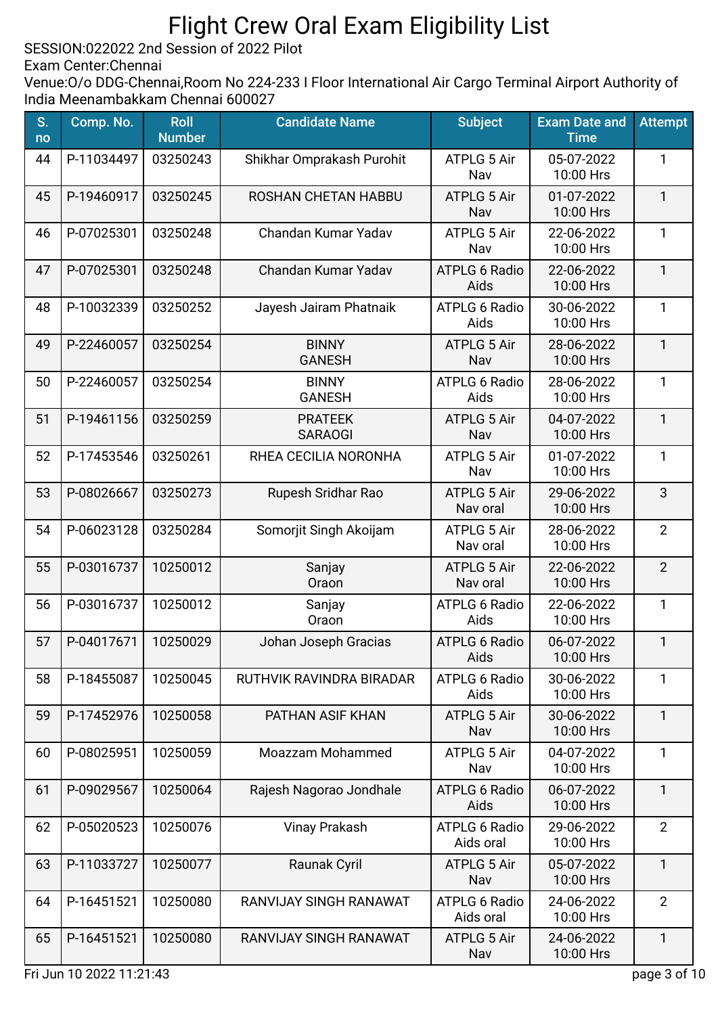SESSION:022022 2nd Session of 2022 Pilot

Exam Center:Chennai

| S.<br>no | Comp. No.  | <b>Roll</b><br><b>Number</b> | <b>Candidate Name</b>            | <b>Subject</b>                    | <b>Exam Date and</b><br><b>Time</b> | <b>Attempt</b> |
|----------|------------|------------------------------|----------------------------------|-----------------------------------|-------------------------------------|----------------|
| 44       | P-11034497 | 03250243                     | Shikhar Omprakash Purohit        | <b>ATPLG 5 Air</b><br>Nav         | 05-07-2022<br>10:00 Hrs             | 1              |
| 45       | P-19460917 | 03250245                     | ROSHAN CHETAN HABBU              | <b>ATPLG 5 Air</b><br>Nav         | 01-07-2022<br>10:00 Hrs             | $\mathbf{1}$   |
| 46       | P-07025301 | 03250248                     | Chandan Kumar Yadav              | <b>ATPLG 5 Air</b><br>Nav         | 22-06-2022<br>10:00 Hrs             | $\mathbf{1}$   |
| 47       | P-07025301 | 03250248                     | Chandan Kumar Yadav              | <b>ATPLG 6 Radio</b><br>Aids      | 22-06-2022<br>10:00 Hrs             | $\mathbf{1}$   |
| 48       | P-10032339 | 03250252                     | Jayesh Jairam Phatnaik           | <b>ATPLG 6 Radio</b><br>Aids      | 30-06-2022<br>10:00 Hrs             | 1              |
| 49       | P-22460057 | 03250254                     | <b>BINNY</b><br><b>GANESH</b>    | <b>ATPLG 5 Air</b><br>Nav         | 28-06-2022<br>10:00 Hrs             | 1              |
| 50       | P-22460057 | 03250254                     | <b>BINNY</b><br><b>GANESH</b>    | <b>ATPLG 6 Radio</b><br>Aids      | 28-06-2022<br>10:00 Hrs             | 1              |
| 51       | P-19461156 | 03250259                     | <b>PRATEEK</b><br><b>SARAOGI</b> | <b>ATPLG 5 Air</b><br>Nav         | 04-07-2022<br>10:00 Hrs             | $\mathbf{1}$   |
| 52       | P-17453546 | 03250261                     | RHEA CECILIA NORONHA             | <b>ATPLG 5 Air</b><br>Nav         | 01-07-2022<br>10:00 Hrs             | 1              |
| 53       | P-08026667 | 03250273                     | Rupesh Sridhar Rao               | <b>ATPLG 5 Air</b><br>Nav oral    | 29-06-2022<br>10:00 Hrs             | 3              |
| 54       | P-06023128 | 03250284                     | Somorjit Singh Akoijam           | <b>ATPLG 5 Air</b><br>Nav oral    | 28-06-2022<br>10:00 Hrs             | $\overline{2}$ |
| 55       | P-03016737 | 10250012                     | Sanjay<br>Oraon                  | <b>ATPLG 5 Air</b><br>Nav oral    | 22-06-2022<br>10:00 Hrs             | $\overline{2}$ |
| 56       | P-03016737 | 10250012                     | Sanjay<br>Oraon                  | <b>ATPLG 6 Radio</b><br>Aids      | 22-06-2022<br>10:00 Hrs             | 1              |
| 57       | P-04017671 | 10250029                     | Johan Joseph Gracias             | <b>ATPLG 6 Radio</b><br>Aids      | 06-07-2022<br>10:00 Hrs             | $\mathbf{1}$   |
| 58       | P-18455087 | 10250045                     | RUTHVIK RAVINDRA BIRADAR         | <b>ATPLG 6 Radio</b><br>Aids      | 30-06-2022<br>10:00 Hrs             | 1              |
| 59       | P-17452976 | 10250058                     | PATHAN ASIF KHAN                 | <b>ATPLG 5 Air</b><br>Nav         | 30-06-2022<br>10:00 Hrs             | $\mathbf{1}$   |
| 60       | P-08025951 | 10250059                     | Moazzam Mohammed                 | <b>ATPLG 5 Air</b><br>Nav         | 04-07-2022<br>10:00 Hrs             | $\mathbf{1}$   |
| 61       | P-09029567 | 10250064                     | Rajesh Nagorao Jondhale          | <b>ATPLG 6 Radio</b><br>Aids      | 06-07-2022<br>10:00 Hrs             | $\mathbf{1}$   |
| 62       | P-05020523 | 10250076                     | <b>Vinay Prakash</b>             | <b>ATPLG 6 Radio</b><br>Aids oral | 29-06-2022<br>10:00 Hrs             | $\overline{2}$ |
| 63       | P-11033727 | 10250077                     | Raunak Cyril                     | <b>ATPLG 5 Air</b><br>Nav         | 05-07-2022<br>10:00 Hrs             | $\mathbf{1}$   |
| 64       | P-16451521 | 10250080                     | RANVIJAY SINGH RANAWAT           | <b>ATPLG 6 Radio</b><br>Aids oral | 24-06-2022<br>10:00 Hrs             | $\overline{2}$ |
| 65       | P-16451521 | 10250080                     | RANVIJAY SINGH RANAWAT           | <b>ATPLG 5 Air</b><br>Nav         | 24-06-2022<br>10:00 Hrs             | $\mathbf{1}$   |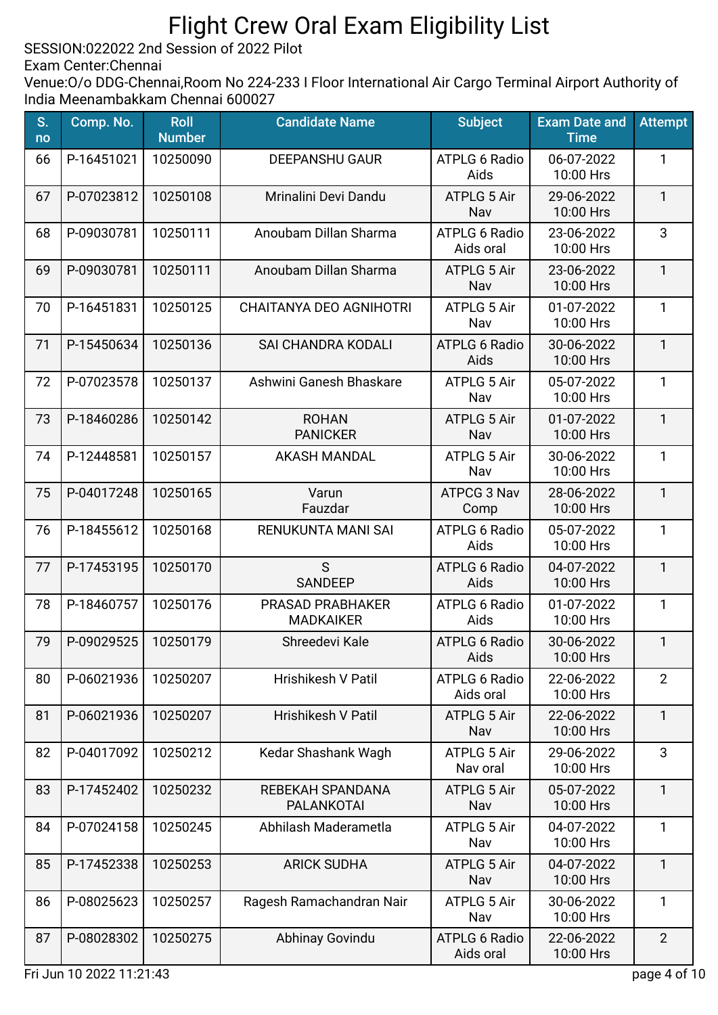SESSION:022022 2nd Session of 2022 Pilot

Exam Center:Chennai

| S.<br>no | Comp. No.  | <b>Roll</b><br><b>Number</b> | <b>Candidate Name</b>                       | <b>Subject</b>                    | <b>Exam Date and</b><br><b>Time</b> | <b>Attempt</b> |
|----------|------------|------------------------------|---------------------------------------------|-----------------------------------|-------------------------------------|----------------|
| 66       | P-16451021 | 10250090                     | <b>DEEPANSHU GAUR</b>                       | <b>ATPLG 6 Radio</b><br>Aids      | 06-07-2022<br>10:00 Hrs             | 1              |
| 67       | P-07023812 | 10250108                     | Mrinalini Devi Dandu                        | <b>ATPLG 5 Air</b><br>Nav         | 29-06-2022<br>10:00 Hrs             | 1              |
| 68       | P-09030781 | 10250111                     | Anoubam Dillan Sharma                       | <b>ATPLG 6 Radio</b><br>Aids oral | 23-06-2022<br>10:00 Hrs             | 3              |
| 69       | P-09030781 | 10250111                     | Anoubam Dillan Sharma                       | <b>ATPLG 5 Air</b><br>Nav         | 23-06-2022<br>10:00 Hrs             | $\mathbf{1}$   |
| 70       | P-16451831 | 10250125                     | CHAITANYA DEO AGNIHOTRI                     | <b>ATPLG 5 Air</b><br>Nav         | 01-07-2022<br>10:00 Hrs             | $\mathbf{1}$   |
| 71       | P-15450634 | 10250136                     | <b>SAI CHANDRA KODALI</b>                   | <b>ATPLG 6 Radio</b><br>Aids      | 30-06-2022<br>10:00 Hrs             | $\mathbf{1}$   |
| 72       | P-07023578 | 10250137                     | Ashwini Ganesh Bhaskare                     | <b>ATPLG 5 Air</b><br>Nav         | 05-07-2022<br>10:00 Hrs             | 1              |
| 73       | P-18460286 | 10250142                     | <b>ROHAN</b><br><b>PANICKER</b>             | <b>ATPLG 5 Air</b><br>Nav         | 01-07-2022<br>10:00 Hrs             | $\mathbf{1}$   |
| 74       | P-12448581 | 10250157                     | <b>AKASH MANDAL</b>                         | ATPLG 5 Air<br>Nav                | 30-06-2022<br>10:00 Hrs             | 1              |
| 75       | P-04017248 | 10250165                     | Varun<br>Fauzdar                            | ATPCG 3 Nav<br>Comp               | 28-06-2022<br>10:00 Hrs             | $\mathbf{1}$   |
| 76       | P-18455612 | 10250168                     | RENUKUNTA MANI SAI                          | <b>ATPLG 6 Radio</b><br>Aids      | 05-07-2022<br>10:00 Hrs             | $\mathbf{1}$   |
| 77       | P-17453195 | 10250170                     | S<br><b>SANDEEP</b>                         | <b>ATPLG 6 Radio</b><br>Aids      | 04-07-2022<br>10:00 Hrs             | $\mathbf{1}$   |
| 78       | P-18460757 | 10250176                     | <b>PRASAD PRABHAKER</b><br><b>MADKAIKER</b> | <b>ATPLG 6 Radio</b><br>Aids      | 01-07-2022<br>10:00 Hrs             | $\mathbf{1}$   |
| 79       | P-09029525 | 10250179                     | Shreedevi Kale                              | <b>ATPLG 6 Radio</b><br>Aids      | 30-06-2022<br>10:00 Hrs             | $\mathbf{1}$   |
| 80       | P-06021936 | 10250207                     | Hrishikesh V Patil                          | <b>ATPLG 6 Radio</b><br>Aids oral | 22-06-2022<br>10:00 Hrs             | $\overline{2}$ |
| 81       | P-06021936 | 10250207                     | <b>Hrishikesh V Patil</b>                   | <b>ATPLG 5 Air</b><br>Nav         | 22-06-2022<br>10:00 Hrs             | $\mathbf{1}$   |
| 82       | P-04017092 | 10250212                     | Kedar Shashank Wagh                         | <b>ATPLG 5 Air</b><br>Nav oral    | 29-06-2022<br>10:00 Hrs             | 3              |
| 83       | P-17452402 | 10250232                     | REBEKAH SPANDANA<br><b>PALANKOTAI</b>       | <b>ATPLG 5 Air</b><br>Nav         | 05-07-2022<br>10:00 Hrs             | $\mathbf{1}$   |
| 84       | P-07024158 | 10250245                     | Abhilash Maderametla                        | <b>ATPLG 5 Air</b><br>Nav         | 04-07-2022<br>10:00 Hrs             | $\mathbf{1}$   |
| 85       | P-17452338 | 10250253                     | <b>ARICK SUDHA</b>                          | <b>ATPLG 5 Air</b><br>Nav         | 04-07-2022<br>10:00 Hrs             | $\mathbf{1}$   |
| 86       | P-08025623 | 10250257                     | Ragesh Ramachandran Nair                    | <b>ATPLG 5 Air</b><br>Nav         | 30-06-2022<br>10:00 Hrs             | 1              |
| 87       | P-08028302 | 10250275                     | Abhinay Govindu                             | <b>ATPLG 6 Radio</b><br>Aids oral | 22-06-2022<br>10:00 Hrs             | $\overline{2}$ |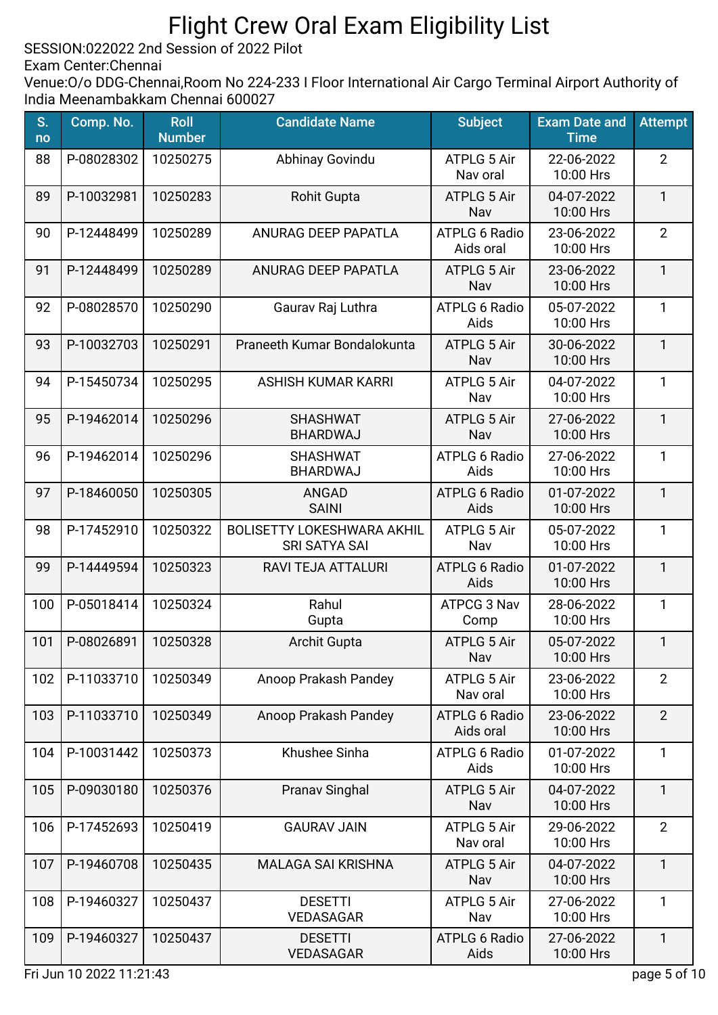SESSION:022022 2nd Session of 2022 Pilot

Exam Center:Chennai

| S.<br>no | Comp. No.  | <b>Roll</b><br><b>Number</b> | <b>Candidate Name</b>                                     | <b>Subject</b>                    | <b>Exam Date and</b><br><b>Time</b> | <b>Attempt</b> |
|----------|------------|------------------------------|-----------------------------------------------------------|-----------------------------------|-------------------------------------|----------------|
| 88       | P-08028302 | 10250275                     | Abhinay Govindu                                           | <b>ATPLG 5 Air</b><br>Nav oral    | 22-06-2022<br>10:00 Hrs             | $\overline{2}$ |
| 89       | P-10032981 | 10250283                     | <b>Rohit Gupta</b>                                        | <b>ATPLG 5 Air</b><br>Nav         | 04-07-2022<br>10:00 Hrs             | $\mathbf{1}$   |
| 90       | P-12448499 | 10250289                     | ANURAG DEEP PAPATLA                                       | <b>ATPLG 6 Radio</b><br>Aids oral | 23-06-2022<br>10:00 Hrs             | $\overline{2}$ |
| 91       | P-12448499 | 10250289                     | <b>ANURAG DEEP PAPATLA</b>                                | <b>ATPLG 5 Air</b><br>Nav         | 23-06-2022<br>10:00 Hrs             | $\mathbf{1}$   |
| 92       | P-08028570 | 10250290                     | Gaurav Raj Luthra                                         | <b>ATPLG 6 Radio</b><br>Aids      | 05-07-2022<br>10:00 Hrs             | 1              |
| 93       | P-10032703 | 10250291                     | Praneeth Kumar Bondalokunta                               | <b>ATPLG 5 Air</b><br>Nav         | 30-06-2022<br>10:00 Hrs             | $\mathbf{1}$   |
| 94       | P-15450734 | 10250295                     | <b>ASHISH KUMAR KARRI</b>                                 | <b>ATPLG 5 Air</b><br>Nav         | 04-07-2022<br>10:00 Hrs             | 1              |
| 95       | P-19462014 | 10250296                     | <b>SHASHWAT</b><br>BHARDWAJ                               | <b>ATPLG 5 Air</b><br>Nav         | 27-06-2022<br>10:00 Hrs             | 1              |
| 96       | P-19462014 | 10250296                     | <b>SHASHWAT</b><br>BHARDWAJ                               | <b>ATPLG 6 Radio</b><br>Aids      | 27-06-2022<br>10:00 Hrs             | 1              |
| 97       | P-18460050 | 10250305                     | <b>ANGAD</b><br><b>SAINI</b>                              | <b>ATPLG 6 Radio</b><br>Aids      | 01-07-2022<br>10:00 Hrs             | $\mathbf{1}$   |
| 98       | P-17452910 | 10250322                     | <b>BOLISETTY LOKESHWARA AKHIL</b><br><b>SRI SATYA SAI</b> | <b>ATPLG 5 Air</b><br>Nav         | 05-07-2022<br>10:00 Hrs             | 1              |
| 99       | P-14449594 | 10250323                     | RAVI TEJA ATTALURI                                        | <b>ATPLG 6 Radio</b><br>Aids      | 01-07-2022<br>10:00 Hrs             | $\mathbf{1}$   |
| 100      | P-05018414 | 10250324                     | Rahul<br>Gupta                                            | ATPCG 3 Nav<br>Comp               | 28-06-2022<br>10:00 Hrs             | 1              |
| 101      | P-08026891 | 10250328                     | <b>Archit Gupta</b>                                       | <b>ATPLG 5 Air</b><br>Nav         | 05-07-2022<br>10:00 Hrs             | $\mathbf{1}$   |
| 102      | P-11033710 | 10250349                     | Anoop Prakash Pandey                                      | <b>ATPLG 5 Air</b><br>Nav oral    | 23-06-2022<br>10:00 Hrs             | $\overline{2}$ |
| 103      | P-11033710 | 10250349                     | Anoop Prakash Pandey                                      | <b>ATPLG 6 Radio</b><br>Aids oral | 23-06-2022<br>10:00 Hrs             | $\overline{2}$ |
| 104      | P-10031442 | 10250373                     | Khushee Sinha                                             | <b>ATPLG 6 Radio</b><br>Aids      | 01-07-2022<br>10:00 Hrs             | $\mathbf{1}$   |
| 105      | P-09030180 | 10250376                     | Pranav Singhal                                            | ATPLG 5 Air<br>Nav                | 04-07-2022<br>10:00 Hrs             | $\mathbf{1}$   |
| 106      | P-17452693 | 10250419                     | <b>GAURAV JAIN</b>                                        | <b>ATPLG 5 Air</b><br>Nav oral    | 29-06-2022<br>10:00 Hrs             | $\overline{2}$ |
| 107      | P-19460708 | 10250435                     | <b>MALAGA SAI KRISHNA</b>                                 | <b>ATPLG 5 Air</b><br>Nav         | 04-07-2022<br>10:00 Hrs             | $\mathbf{1}$   |
| 108      | P-19460327 | 10250437                     | <b>DESETTI</b><br><b>VEDASAGAR</b>                        | ATPLG 5 Air<br>Nav                | 27-06-2022<br>10:00 Hrs             | $\mathbf{1}$   |
| 109      | P-19460327 | 10250437                     | <b>DESETTI</b><br><b>VEDASAGAR</b>                        | <b>ATPLG 6 Radio</b><br>Aids      | 27-06-2022<br>10:00 Hrs             | $\mathbf{1}$   |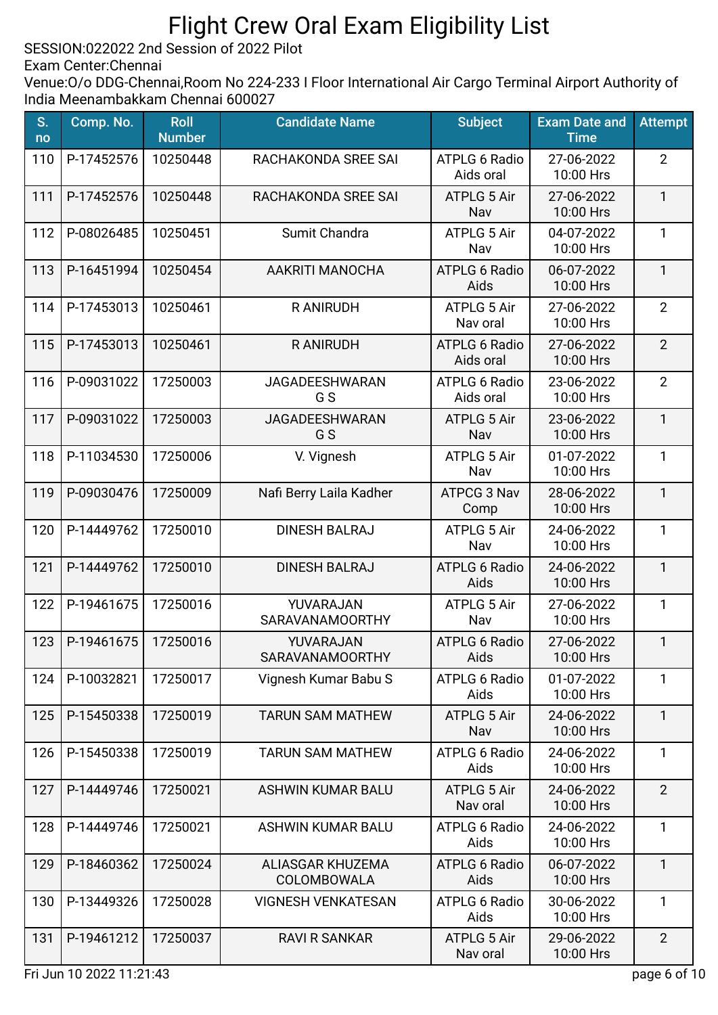SESSION:022022 2nd Session of 2022 Pilot

Exam Center:Chennai

| S.<br>no | Comp. No.  | <b>Roll</b><br><b>Number</b> | <b>Candidate Name</b>               | <b>Subject</b>                    | <b>Exam Date and</b><br><b>Time</b> | <b>Attempt</b> |
|----------|------------|------------------------------|-------------------------------------|-----------------------------------|-------------------------------------|----------------|
| 110      | P-17452576 | 10250448                     | RACHAKONDA SREE SAI                 | <b>ATPLG 6 Radio</b><br>Aids oral | 27-06-2022<br>10:00 Hrs             | $\overline{2}$ |
| 111      | P-17452576 | 10250448                     | RACHAKONDA SREE SAI                 | <b>ATPLG 5 Air</b><br>Nav         | 27-06-2022<br>10:00 Hrs             | $\mathbf{1}$   |
| 112      | P-08026485 | 10250451                     | Sumit Chandra                       | ATPLG 5 Air<br>Nav                | 04-07-2022<br>10:00 Hrs             | $\mathbf{1}$   |
| 113      | P-16451994 | 10250454                     | AAKRITI MANOCHA                     | <b>ATPLG 6 Radio</b><br>Aids      | 06-07-2022<br>10:00 Hrs             | $\mathbf{1}$   |
| 114      | P-17453013 | 10250461                     | R ANIRUDH                           | ATPLG 5 Air<br>Nav oral           | 27-06-2022<br>10:00 Hrs             | $\overline{2}$ |
| 115      | P-17453013 | 10250461                     | <b>RANIRUDH</b>                     | <b>ATPLG 6 Radio</b><br>Aids oral | 27-06-2022<br>10:00 Hrs             | $\overline{2}$ |
| 116      | P-09031022 | 17250003                     | <b>JAGADEESHWARAN</b><br>G S        | <b>ATPLG 6 Radio</b><br>Aids oral | 23-06-2022<br>10:00 Hrs             | $\overline{2}$ |
| 117      | P-09031022 | 17250003                     | <b>JAGADEESHWARAN</b><br>G S        | <b>ATPLG 5 Air</b><br>Nav         | 23-06-2022<br>10:00 Hrs             | $\mathbf{1}$   |
| 118      | P-11034530 | 17250006                     | V. Vignesh                          | <b>ATPLG 5 Air</b><br>Nav         | 01-07-2022<br>10:00 Hrs             | 1              |
| 119      | P-09030476 | 17250009                     | Nafi Berry Laila Kadher             | ATPCG 3 Nav<br>Comp               | 28-06-2022<br>10:00 Hrs             | $\mathbf{1}$   |
| 120      | P-14449762 | 17250010                     | <b>DINESH BALRAJ</b>                | ATPLG 5 Air<br>Nav                | 24-06-2022<br>10:00 Hrs             | $\mathbf{1}$   |
| 121      | P-14449762 | 17250010                     | <b>DINESH BALRAJ</b>                | <b>ATPLG 6 Radio</b><br>Aids      | 24-06-2022<br>10:00 Hrs             | $\mathbf{1}$   |
| 122      | P-19461675 | 17250016                     | YUVARAJAN<br><b>SARAVANAMOORTHY</b> | ATPLG 5 Air<br>Nav                | 27-06-2022<br>10:00 Hrs             | 1              |
| 123      | P-19461675 | 17250016                     | YUVARAJAN<br>SARAVANAMOORTHY        | <b>ATPLG 6 Radio</b><br>Aids      | 27-06-2022<br>10:00 Hrs             | $\mathbf{1}$   |
| 124      | P-10032821 | 17250017                     | Vignesh Kumar Babu S                | <b>ATPLG 6 Radio</b><br>Aids      | 01-07-2022<br>10:00 Hrs             | 1              |
| 125      | P-15450338 | 17250019                     | <b>TARUN SAM MATHEW</b>             | <b>ATPLG 5 Air</b><br>Nav         | 24-06-2022<br>10:00 Hrs             | $\mathbf{1}$   |
| 126      | P-15450338 | 17250019                     | <b>TARUN SAM MATHEW</b>             | <b>ATPLG 6 Radio</b><br>Aids      | 24-06-2022<br>10:00 Hrs             | $\mathbf{1}$   |
| 127      | P-14449746 | 17250021                     | <b>ASHWIN KUMAR BALU</b>            | <b>ATPLG 5 Air</b><br>Nav oral    | 24-06-2022<br>10:00 Hrs             | $\overline{2}$ |
| 128      | P-14449746 | 17250021                     | <b>ASHWIN KUMAR BALU</b>            | <b>ATPLG 6 Radio</b><br>Aids      | 24-06-2022<br>10:00 Hrs             | $\mathbf{1}$   |
| 129      | P-18460362 | 17250024                     | ALIASGAR KHUZEMA<br>COLOMBOWALA     | <b>ATPLG 6 Radio</b><br>Aids      | 06-07-2022<br>10:00 Hrs             | $\mathbf{1}$   |
| 130      | P-13449326 | 17250028                     | <b>VIGNESH VENKATESAN</b>           | <b>ATPLG 6 Radio</b><br>Aids      | 30-06-2022<br>10:00 Hrs             | $\mathbf{1}$   |
| 131      | P-19461212 | 17250037                     | <b>RAVI R SANKAR</b>                | <b>ATPLG 5 Air</b><br>Nav oral    | 29-06-2022<br>10:00 Hrs             | $\overline{2}$ |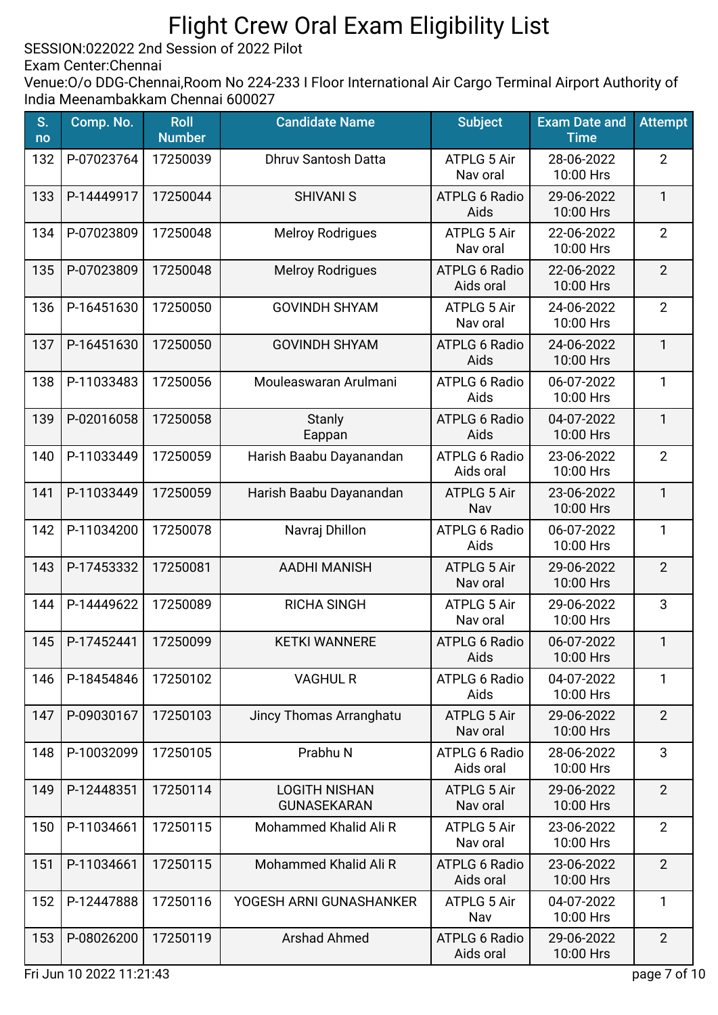SESSION:022022 2nd Session of 2022 Pilot

Exam Center:Chennai

| S.<br>no | Comp. No.  | <b>Roll</b><br><b>Number</b> | <b>Candidate Name</b>                      | <b>Subject</b>                    | <b>Exam Date and</b><br><b>Time</b> | <b>Attempt</b> |
|----------|------------|------------------------------|--------------------------------------------|-----------------------------------|-------------------------------------|----------------|
| 132      | P-07023764 | 17250039                     | <b>Dhruv Santosh Datta</b>                 | <b>ATPLG 5 Air</b><br>Nav oral    | 28-06-2022<br>10:00 Hrs             | $\overline{2}$ |
| 133      | P-14449917 | 17250044                     | <b>SHIVANI S</b>                           | <b>ATPLG 6 Radio</b><br>Aids      | 29-06-2022<br>10:00 Hrs             | $\mathbf{1}$   |
| 134      | P-07023809 | 17250048                     | <b>Melroy Rodrigues</b>                    | ATPLG 5 Air<br>Nav oral           | 22-06-2022<br>10:00 Hrs             | $\overline{2}$ |
| 135      | P-07023809 | 17250048                     | <b>Melroy Rodrigues</b>                    | <b>ATPLG 6 Radio</b><br>Aids oral | 22-06-2022<br>10:00 Hrs             | $\overline{2}$ |
| 136      | P-16451630 | 17250050                     | <b>GOVINDH SHYAM</b>                       | ATPLG 5 Air<br>Nav oral           | 24-06-2022<br>10:00 Hrs             | $\overline{2}$ |
| 137      | P-16451630 | 17250050                     | <b>GOVINDH SHYAM</b>                       | <b>ATPLG 6 Radio</b><br>Aids      | 24-06-2022<br>10:00 Hrs             | 1              |
| 138      | P-11033483 | 17250056                     | Mouleaswaran Arulmani                      | <b>ATPLG 6 Radio</b><br>Aids      | 06-07-2022<br>10:00 Hrs             | 1              |
| 139      | P-02016058 | 17250058                     | Stanly<br>Eappan                           | <b>ATPLG 6 Radio</b><br>Aids      | 04-07-2022<br>10:00 Hrs             | $\mathbf{1}$   |
| 140      | P-11033449 | 17250059                     | Harish Baabu Dayanandan                    | <b>ATPLG 6 Radio</b><br>Aids oral | 23-06-2022<br>10:00 Hrs             | $\overline{2}$ |
| 141      | P-11033449 | 17250059                     | Harish Baabu Dayanandan                    | <b>ATPLG 5 Air</b><br>Nav         | 23-06-2022<br>10:00 Hrs             | $\mathbf{1}$   |
| 142      | P-11034200 | 17250078                     | Navraj Dhillon                             | <b>ATPLG 6 Radio</b><br>Aids      | 06-07-2022<br>10:00 Hrs             | 1              |
| 143      | P-17453332 | 17250081                     | <b>AADHI MANISH</b>                        | <b>ATPLG 5 Air</b><br>Nav oral    | 29-06-2022<br>10:00 Hrs             | $\overline{2}$ |
| 144      | P-14449622 | 17250089                     | <b>RICHA SINGH</b>                         | <b>ATPLG 5 Air</b><br>Nav oral    | 29-06-2022<br>10:00 Hrs             | 3              |
| 145      | P-17452441 | 17250099                     | <b>KETKI WANNERE</b>                       | <b>ATPLG 6 Radio</b><br>Aids      | 06-07-2022<br>10:00 Hrs             | $\mathbf{1}$   |
| 146      | P-18454846 | 17250102                     | <b>VAGHUL R</b>                            | <b>ATPLG 6 Radio</b><br>Aids      | 04-07-2022<br>10:00 Hrs             | 1              |
| 147      | P-09030167 | 17250103                     | Jincy Thomas Arranghatu                    | <b>ATPLG 5 Air</b><br>Nav oral    | 29-06-2022<br>10:00 Hrs             | $\overline{2}$ |
| 148      | P-10032099 | 17250105                     | Prabhu N                                   | <b>ATPLG 6 Radio</b><br>Aids oral | 28-06-2022<br>10:00 Hrs             | 3              |
| 149      | P-12448351 | 17250114                     | <b>LOGITH NISHAN</b><br><b>GUNASEKARAN</b> | ATPLG 5 Air<br>Nav oral           | 29-06-2022<br>10:00 Hrs             | $\overline{2}$ |
| 150      | P-11034661 | 17250115                     | Mohammed Khalid Ali R                      | ATPLG 5 Air<br>Nav oral           | 23-06-2022<br>10:00 Hrs             | $\overline{2}$ |
| 151      | P-11034661 | 17250115                     | Mohammed Khalid Ali R                      | <b>ATPLG 6 Radio</b><br>Aids oral | 23-06-2022<br>10:00 Hrs             | $\overline{2}$ |
| 152      | P-12447888 | 17250116                     | YOGESH ARNI GUNASHANKER                    | <b>ATPLG 5 Air</b><br>Nav         | 04-07-2022<br>10:00 Hrs             | 1              |
| 153      | P-08026200 | 17250119                     | <b>Arshad Ahmed</b>                        | <b>ATPLG 6 Radio</b><br>Aids oral | 29-06-2022<br>10:00 Hrs             | $\overline{2}$ |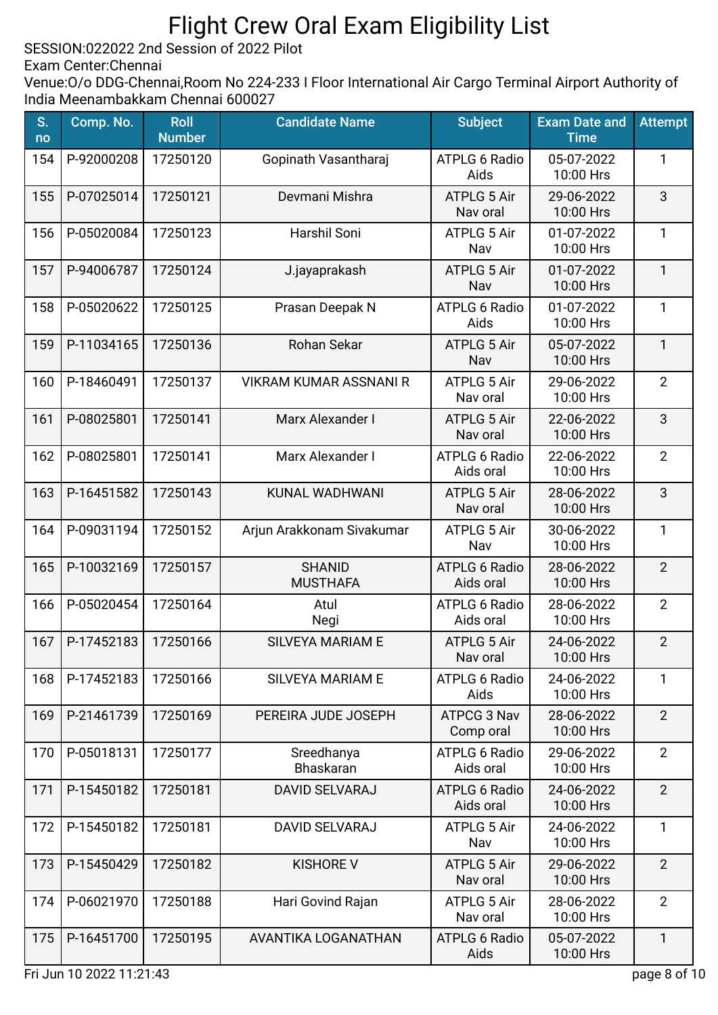SESSION:022022 2nd Session of 2022 Pilot

Exam Center:Chennai

| S.<br>no | Comp. No.  | <b>Roll</b><br><b>Number</b> | <b>Candidate Name</b>            | <b>Subject</b>                    | <b>Exam Date and</b><br><b>Time</b> | <b>Attempt</b> |
|----------|------------|------------------------------|----------------------------------|-----------------------------------|-------------------------------------|----------------|
| 154      | P-92000208 | 17250120                     | Gopinath Vasantharaj             | <b>ATPLG 6 Radio</b><br>Aids      | 05-07-2022<br>10:00 Hrs             | 1              |
| 155      | P-07025014 | 17250121                     | Devmani Mishra                   | <b>ATPLG 5 Air</b><br>Nav oral    | 29-06-2022<br>10:00 Hrs             | 3              |
| 156      | P-05020084 | 17250123                     | Harshil Soni                     | ATPLG 5 Air<br>Nav                | 01-07-2022<br>10:00 Hrs             | $\mathbf{1}$   |
| 157      | P-94006787 | 17250124                     | J.jayaprakash                    | <b>ATPLG 5 Air</b><br>Nav         | 01-07-2022<br>10:00 Hrs             | $\mathbf{1}$   |
| 158      | P-05020622 | 17250125                     | Prasan Deepak N                  | <b>ATPLG 6 Radio</b><br>Aids      | 01-07-2022<br>10:00 Hrs             | $\mathbf{1}$   |
| 159      | P-11034165 | 17250136                     | Rohan Sekar                      | <b>ATPLG 5 Air</b><br>Nav         | 05-07-2022<br>10:00 Hrs             | $\mathbf{1}$   |
| 160      | P-18460491 | 17250137                     | <b>VIKRAM KUMAR ASSNANI R</b>    | ATPLG 5 Air<br>Nav oral           | 29-06-2022<br>10:00 Hrs             | $\overline{2}$ |
| 161      | P-08025801 | 17250141                     | Marx Alexander I                 | <b>ATPLG 5 Air</b><br>Nav oral    | 22-06-2022<br>10:00 Hrs             | 3              |
| 162      | P-08025801 | 17250141                     | Marx Alexander I                 | <b>ATPLG 6 Radio</b><br>Aids oral | 22-06-2022<br>10:00 Hrs             | $\overline{2}$ |
| 163      | P-16451582 | 17250143                     | KUNAL WADHWANI                   | <b>ATPLG 5 Air</b><br>Nav oral    | 28-06-2022<br>10:00 Hrs             | 3              |
| 164      | P-09031194 | 17250152                     | Arjun Arakkonam Sivakumar        | ATPLG 5 Air<br>Nav                | 30-06-2022<br>10:00 Hrs             | $\mathbf{1}$   |
| 165      | P-10032169 | 17250157                     | <b>SHANID</b><br><b>MUSTHAFA</b> | <b>ATPLG 6 Radio</b><br>Aids oral | 28-06-2022<br>10:00 Hrs             | $\overline{2}$ |
| 166      | P-05020454 | 17250164                     | Atul<br>Negi                     | <b>ATPLG 6 Radio</b><br>Aids oral | 28-06-2022<br>10:00 Hrs             | $\overline{2}$ |
| 167      | P-17452183 | 17250166                     | <b>SILVEYA MARIAM E</b>          | <b>ATPLG 5 Air</b><br>Nav oral    | 24-06-2022<br>10:00 Hrs             | $\overline{2}$ |
| 168      | P-17452183 | 17250166                     | SILVEYA MARIAM E                 | ATPLG 6 Radio<br>Aids             | 24-06-2022<br>10:00 Hrs             | 1              |
| 169      | P-21461739 | 17250169                     | PEREIRA JUDE JOSEPH              | ATPCG 3 Nav<br>Comp oral          | 28-06-2022<br>10:00 Hrs             | $\overline{2}$ |
| 170      | P-05018131 | 17250177                     | Sreedhanya<br><b>Bhaskaran</b>   | ATPLG 6 Radio<br>Aids oral        | 29-06-2022<br>10:00 Hrs             | $\overline{2}$ |
| 171      | P-15450182 | 17250181                     | <b>DAVID SELVARAJ</b>            | <b>ATPLG 6 Radio</b><br>Aids oral | 24-06-2022<br>10:00 Hrs             | $\overline{2}$ |
| 172      | P-15450182 | 17250181                     | <b>DAVID SELVARAJ</b>            | ATPLG 5 Air<br>Nav                | 24-06-2022<br>10:00 Hrs             | $\mathbf{1}$   |
| 173      | P-15450429 | 17250182                     | <b>KISHORE V</b>                 | <b>ATPLG 5 Air</b><br>Nav oral    | 29-06-2022<br>10:00 Hrs             | $\overline{2}$ |
| 174      | P-06021970 | 17250188                     | Hari Govind Rajan                | <b>ATPLG 5 Air</b><br>Nav oral    | 28-06-2022<br>10:00 Hrs             | $\overline{2}$ |
| 175      | P-16451700 | 17250195                     | AVANTIKA LOGANATHAN              | <b>ATPLG 6 Radio</b><br>Aids      | 05-07-2022<br>10:00 Hrs             | $\mathbf{1}$   |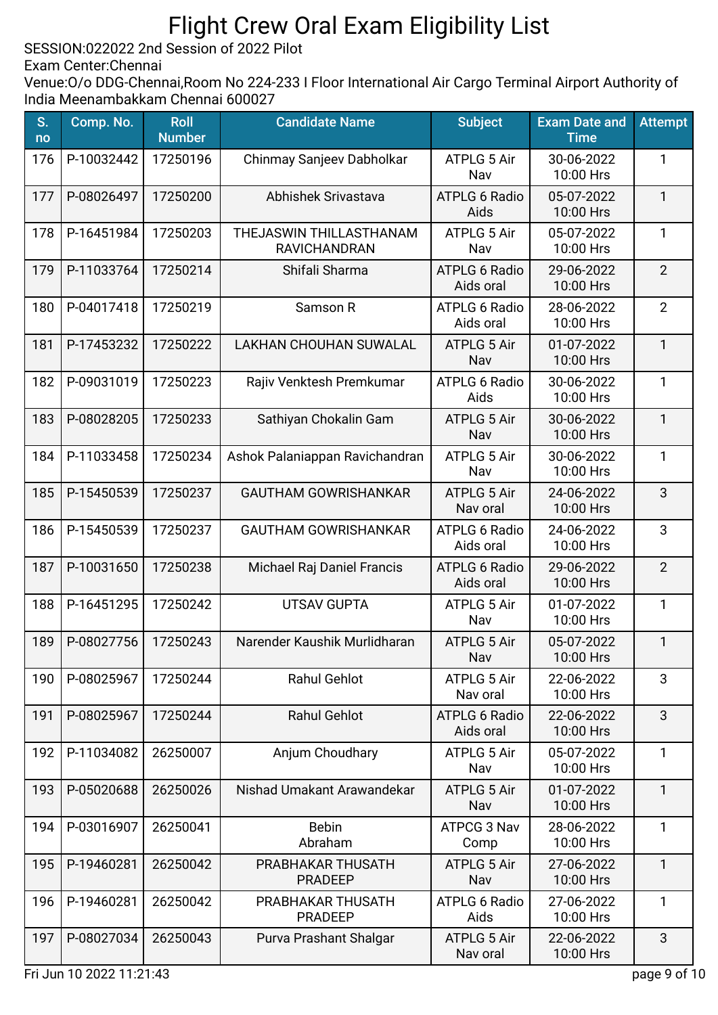SESSION:022022 2nd Session of 2022 Pilot

Exam Center:Chennai

| S.<br>no | Comp. No.  | <b>Roll</b><br><b>Number</b> | <b>Candidate Name</b>                          | <b>Subject</b>                    | <b>Exam Date and</b><br><b>Time</b> | <b>Attempt</b> |
|----------|------------|------------------------------|------------------------------------------------|-----------------------------------|-------------------------------------|----------------|
| 176      | P-10032442 | 17250196                     | Chinmay Sanjeev Dabholkar                      | ATPLG 5 Air<br>Nav                | 30-06-2022<br>10:00 Hrs             | 1              |
| 177      | P-08026497 | 17250200                     | Abhishek Srivastava                            | <b>ATPLG 6 Radio</b><br>Aids      | 05-07-2022<br>10:00 Hrs             | $\mathbf{1}$   |
| 178      | P-16451984 | 17250203                     | THEJASWIN THILLASTHANAM<br><b>RAVICHANDRAN</b> | ATPLG 5 Air<br>Nav                | 05-07-2022<br>10:00 Hrs             | $\mathbf{1}$   |
| 179      | P-11033764 | 17250214                     | Shifali Sharma                                 | <b>ATPLG 6 Radio</b><br>Aids oral | 29-06-2022<br>10:00 Hrs             | $\overline{2}$ |
| 180      | P-04017418 | 17250219                     | Samson R                                       | <b>ATPLG 6 Radio</b><br>Aids oral | 28-06-2022<br>10:00 Hrs             | $\overline{2}$ |
| 181      | P-17453232 | 17250222                     | <b>LAKHAN CHOUHAN SUWALAL</b>                  | <b>ATPLG 5 Air</b><br>Nav         | 01-07-2022<br>10:00 Hrs             | 1              |
| 182      | P-09031019 | 17250223                     | Rajiv Venktesh Premkumar                       | <b>ATPLG 6 Radio</b><br>Aids      | 30-06-2022<br>10:00 Hrs             | 1              |
| 183      | P-08028205 | 17250233                     | Sathiyan Chokalin Gam                          | <b>ATPLG 5 Air</b><br>Nav         | 30-06-2022<br>10:00 Hrs             | 1              |
| 184      | P-11033458 | 17250234                     | Ashok Palaniappan Ravichandran                 | <b>ATPLG 5 Air</b><br>Nav         | 30-06-2022<br>10:00 Hrs             | 1              |
| 185      | P-15450539 | 17250237                     | <b>GAUTHAM GOWRISHANKAR</b>                    | <b>ATPLG 5 Air</b><br>Nav oral    | 24-06-2022<br>10:00 Hrs             | 3              |
| 186      | P-15450539 | 17250237                     | <b>GAUTHAM GOWRISHANKAR</b>                    | <b>ATPLG 6 Radio</b><br>Aids oral | 24-06-2022<br>10:00 Hrs             | 3              |
| 187      | P-10031650 | 17250238                     | Michael Raj Daniel Francis                     | <b>ATPLG 6 Radio</b><br>Aids oral | 29-06-2022<br>10:00 Hrs             | $\overline{2}$ |
| 188      | P-16451295 | 17250242                     | <b>UTSAV GUPTA</b>                             | ATPLG 5 Air<br>Nav                | 01-07-2022<br>10:00 Hrs             | $\mathbf{1}$   |
| 189      | P-08027756 | 17250243                     | Narender Kaushik Murlidharan                   | <b>ATPLG 5 Air</b><br>Nav         | 05-07-2022<br>10:00 Hrs             | $\mathbf{1}$   |
| 190      | P-08025967 | 17250244                     | <b>Rahul Gehlot</b>                            | ATPLG 5 Air<br>Nav oral           | 22-06-2022<br>10:00 Hrs             | 3              |
| 191      | P-08025967 | 17250244                     | <b>Rahul Gehlot</b>                            | <b>ATPLG 6 Radio</b><br>Aids oral | 22-06-2022<br>10:00 Hrs             | 3              |
| 192      | P-11034082 | 26250007                     | Anjum Choudhary                                | <b>ATPLG 5 Air</b><br>Nav         | 05-07-2022<br>10:00 Hrs             | $\mathbf{1}$   |
| 193      | P-05020688 | 26250026                     | Nishad Umakant Arawandekar                     | <b>ATPLG 5 Air</b><br>Nav         | 01-07-2022<br>10:00 Hrs             | $\mathbf{1}$   |
| 194      | P-03016907 | 26250041                     | <b>Bebin</b><br>Abraham                        | ATPCG 3 Nav<br>Comp               | 28-06-2022<br>10:00 Hrs             | $\mathbf{1}$   |
| 195      | P-19460281 | 26250042                     | PRABHAKAR THUSATH<br><b>PRADEEP</b>            | <b>ATPLG 5 Air</b><br>Nav         | 27-06-2022<br>10:00 Hrs             | $\mathbf{1}$   |
| 196      | P-19460281 | 26250042                     | PRABHAKAR THUSATH<br><b>PRADEEP</b>            | <b>ATPLG 6 Radio</b><br>Aids      | 27-06-2022<br>10:00 Hrs             | 1              |
| 197      | P-08027034 | 26250043                     | Purva Prashant Shalgar                         | <b>ATPLG 5 Air</b><br>Nav oral    | 22-06-2022<br>10:00 Hrs             | 3              |